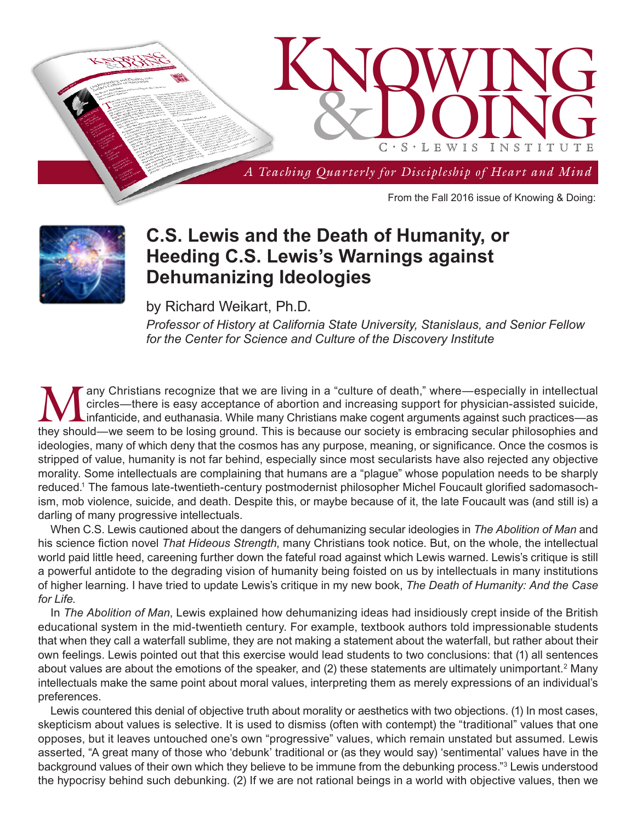



## **C.S. Lewis and the Death of Humanity, or Heeding C.S. Lewis's Warnings against Dehumanizing Ideologies**

by Richard Weikart, Ph.D.

*Professor of History at California State University, Stanislaus, and Senior Fellow for the Center for Science and Culture of the Discovery Institute*

Many Christians recognize that we are living in a "culture of death," where—especially in intellectual<br>circles—there is easy acceptance of abortion and increasing support for physician-assisted suicide,<br>infanticide, and eu circles—there is easy acceptance of abortion and increasing support for physician-assisted suicide, they should—we seem to be losing ground. This is because our society is embracing secular philosophies and ideologies, many of which deny that the cosmos has any purpose, meaning, or significance. Once the cosmos is stripped of value, humanity is not far behind, especially since most secularists have also rejected any objective morality. Some intellectuals are complaining that humans are a "plague" whose population needs to be sharply reduced.1 The famous late-twentieth-century postmodernist philosopher Michel Foucault glorified sadomasochism, mob violence, suicide, and death. Despite this, or maybe because of it, the late Foucault was (and still is) a darling of many progressive intellectuals.

When C.S. Lewis cautioned about the dangers of dehumanizing secular ideologies in *The Abolition of Man* and his science fiction novel *That Hideous Strength*, many Christians took notice. But, on the whole, the intellectual world paid little heed, careening further down the fateful road against which Lewis warned. Lewis's critique is still a powerful antidote to the degrading vision of humanity being foisted on us by intellectuals in many institutions of higher learning. I have tried to update Lewis's critique in my new book, *The Death of Humanity: And the Case for Life*.

In *The Abolition of Man*, Lewis explained how dehumanizing ideas had insidiously crept inside of the British educational system in the mid-twentieth century. For example, textbook authors told impressionable students that when they call a waterfall sublime, they are not making a statement about the waterfall, but rather about their own feelings. Lewis pointed out that this exercise would lead students to two conclusions: that (1) all sentences about values are about the emotions of the speaker, and (2) these statements are ultimately unimportant.<sup>2</sup> Many intellectuals make the same point about moral values, interpreting them as merely expressions of an individual's preferences.

Lewis countered this denial of objective truth about morality or aesthetics with two objections. (1) In most cases, skepticism about values is selective. It is used to dismiss (often with contempt) the "traditional" values that one opposes, but it leaves untouched one's own "progressive" values, which remain unstated but assumed. Lewis asserted, "A great many of those who 'debunk' traditional or (as they would say) 'sentimental' values have in the background values of their own which they believe to be immune from the debunking process."3 Lewis understood the hypocrisy behind such debunking. (2) If we are not rational beings in a world with objective values, then we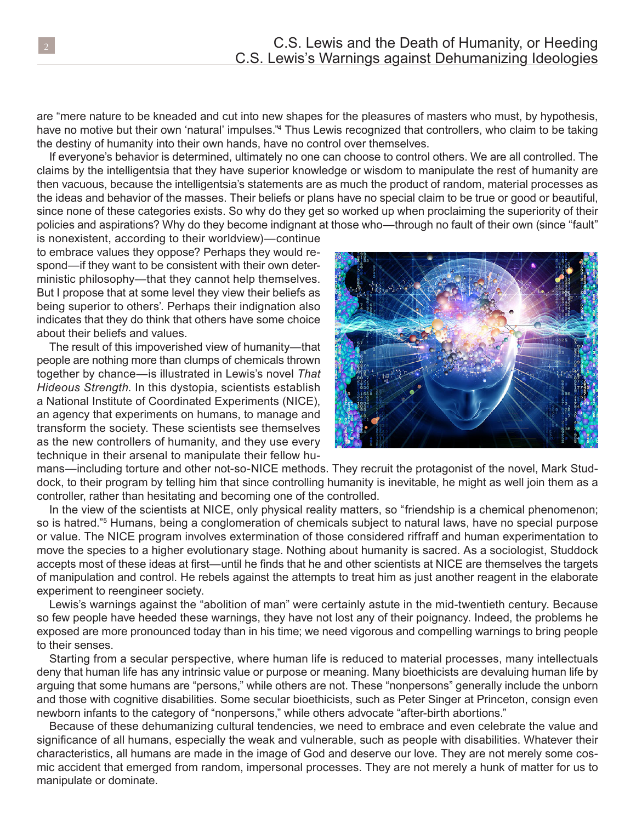are "mere nature to be kneaded and cut into new shapes for the pleasures of masters who must, by hypothesis, have no motive but their own 'natural' impulses."<sup>4</sup> Thus Lewis recognized that controllers, who claim to be taking the destiny of humanity into their own hands, have no control over themselves.

If everyone's behavior is determined, ultimately no one can choose to control others. We are all controlled. The claims by the intelligentsia that they have superior knowledge or wisdom to manipulate the rest of humanity are then vacuous, because the intelligentsia's statements are as much the product of random, material processes as the ideas and behavior of the masses. Their beliefs or plans have no special claim to be true or good or beautiful, since none of these categories exists. So why do they get so worked up when proclaiming the superiority of their policies and aspirations? Why do they become indignant at those who—through no fault of their own (since "fault"

is nonexistent, according to their worldview)—continue to embrace values they oppose? Perhaps they would respond—if they want to be consistent with their own deterministic philosophy—that they cannot help themselves. But I propose that at some level they view their beliefs as being superior to others'. Perhaps their indignation also indicates that they do think that others have some choice about their beliefs and values.

The result of this impoverished view of humanity—that people are nothing more than clumps of chemicals thrown together by chance—is illustrated in Lewis's novel *That Hideous Strength*. In this dystopia, scientists establish a National Institute of Coordinated Experiments (NICE), an agency that experiments on humans, to manage and transform the society. These scientists see themselves as the new controllers of humanity, and they use every technique in their arsenal to manipulate their fellow hu-



mans—including torture and other not-so-NICE methods. They recruit the protagonist of the novel, Mark Studdock, to their program by telling him that since controlling humanity is inevitable, he might as well join them as a controller, rather than hesitating and becoming one of the controlled.

In the view of the scientists at NICE, only physical reality matters, so "friendship is a chemical phenomenon; so is hatred."<sup>5</sup> Humans, being a conglomeration of chemicals subject to natural laws, have no special purpose or value. The NICE program involves extermination of those considered riffraff and human experimentation to move the species to a higher evolutionary stage. Nothing about humanity is sacred. As a sociologist, Studdock accepts most of these ideas at first—until he finds that he and other scientists at NICE are themselves the targets of manipulation and control. He rebels against the attempts to treat him as just another reagent in the elaborate experiment to reengineer society.

Lewis's warnings against the "abolition of man" were certainly astute in the mid-twentieth century. Because so few people have heeded these warnings, they have not lost any of their poignancy. Indeed, the problems he exposed are more pronounced today than in his time; we need vigorous and compelling warnings to bring people to their senses.

Starting from a secular perspective, where human life is reduced to material processes, many intellectuals deny that human life has any intrinsic value or purpose or meaning. Many bioethicists are devaluing human life by arguing that some humans are "persons," while others are not. These "nonpersons" generally include the unborn and those with cognitive disabilities. Some secular bioethicists, such as Peter Singer at Princeton, consign even newborn infants to the category of "nonpersons," while others advocate "after-birth abortions."

Because of these dehumanizing cultural tendencies, we need to embrace and even celebrate the value and significance of all humans, especially the weak and vulnerable, such as people with disabilities. Whatever their characteristics, all humans are made in the image of God and deserve our love. They are not merely some cosmic accident that emerged from random, impersonal processes. They are not merely a hunk of matter for us to manipulate or dominate.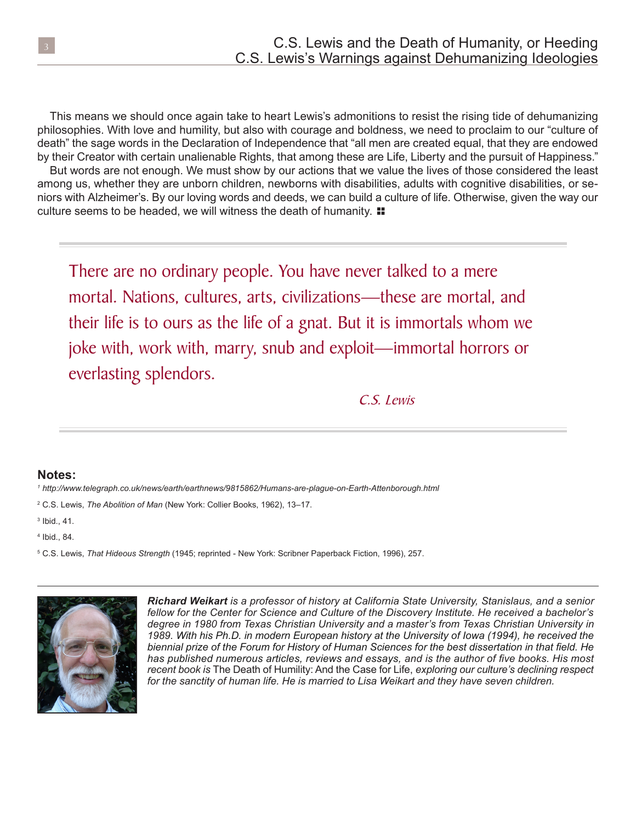This means we should once again take to heart Lewis's admonitions to resist the rising tide of dehumanizing philosophies. With love and humility, but also with courage and boldness, we need to proclaim to our "culture of death" the sage words in the Declaration of Independence that "all men are created equal, that they are endowed by their Creator with certain unalienable Rights, that among these are Life, Liberty and the pursuit of Happiness." But words are not enough. We must show by our actions that we value the lives of those considered the least

culture seems to be headed, we will witness the death of humanity.  $\blacksquare$ among us, whether they are unborn children, newborns with disabilities, adults with cognitive disabilities, or seniors with Alzheimer's. By our loving words and deeds, we can build a culture of life. Otherwise, given the way our

There are no ordinary people. You have never talked to a mere mortal. Nations, cultures, arts, civilizations—these are mortal, and their life is to ours as the life of a gnat. But it is immortals whom we joke with, work with, marry, snub and exploit—immortal horrors or everlasting splendors.

C.S. Lewis

## **Notes:**

*<sup>1</sup> http://www.telegraph.co.uk/news/earth/earthnews/9815862/Humans-are-plague-on-Earth-Attenborough.html*

<sup>2</sup> C.S. Lewis, *The Abolition of Man* (New York: Collier Books, 1962), 13–17.

3 Ibid., 41.

4 Ibid., 84.

<sup>5</sup> C.S. Lewis, *That Hideous Strength* (1945; reprinted - New York: Scribner Paperback Fiction, 1996), 257.



*Richard Weikart is a professor of history at California State University, Stanislaus, and a senior fellow for the Center for Science and Culture of the Discovery Institute. He received a bachelor's degree in 1980 from Texas Christian University and a master's from Texas Christian University in 1989. With his Ph.D. in modern European history at the University of Iowa (1994), he received the biennial prize of the Forum for History of Human Sciences for the best dissertation in that field. He has published numerous articles, reviews and essays, and is the author of five books. His most recent book is* The Death of Humility: And the Case for Life, *exploring our culture's declining respect for the sanctity of human life. He is married to Lisa Weikart and they have seven children.*